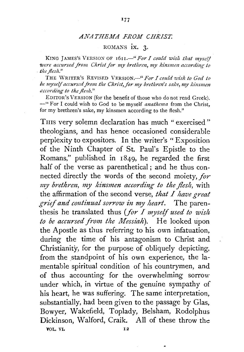## **ANATHEMA FROM CHRIST.**

## ROMANS ix. 3.

KING JAMES'S VERSION OF 1611.<sup>4</sup> For I could wish that myself were accursed from Christ for my brethren, my kinsmen according to **the flesh."** 

THE \VRITF.R'S REVISED VERSION.-" *For I could wish to God to*  be myself accursed from the Christ, for my brethren's sake, my kinsmen *according to the jlerh."* 

EDITOR'S VERSION (for the benefit of those who do not read Greek). -"For I could wish to God to be myself *anathema* from the Christ, for my brethren's sake, my kinsmen according to the flesh."

THIS very solemn declaration has much " exercised" theologians, and has hence occasioned considerable perplexity to expositors. In the writer's "Exposition of the Ninth Chapter of St. Paul's Epistle to the Romans," published in 1849, he regarded the first half of the verse as parenthetical; and he thus connected directly the words of the second moiety, *for my brethren, my kinsmen according to the flesh,* with the affirmation of the second verse, *that I have great grief and co11tinual sorrow in my heart.* The parenthesis he translated thus (for I myself used to wish *to be accursed from the Messiah*). He looked upon the Apostle as thus referring to his own infatuation, during the time of his antagonism to Christ and Christianity, for the purpose of obliquely depicting, from the standpoint of his own experience, the lamentable spiritual condition of his countrymen, and of thus accounting for the overwhelming sorrow under which, in virtue of the genuine sympathy of his heart, he was suffering. The same interpretation, substantially, had been given to the passage by Glas, Bowyer, Wakefield, Toplady, Belsham, Rodolphus Dickinson, Walford, Craik. All of these throw *the*  VOL. VI. 12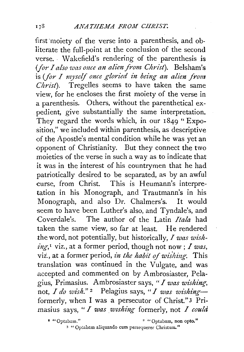first moiety of the verse into a parenthesis, and obliterate the full-point at the conclusion of the second verse. Wakefield's rendering of the parenthesis is *(for I also was once an alien from Christ).* Belsham's is *(for* I *myself once gloried in being an alien from Christ).* Tregelles seems to have taken the same view, for he encloses the first moiety of the verse in a parenthesis. Others, without the parenthetical expedient, give substantially the same interpretation. They regard the words which, in our 1849 " Exposition," *we* included within parenthesis, as descriptive of the Apostle's mental condition while he was yet an -opponent of Christianity. But they connect the two moieties of the verse in such a way as to indicate that it was in the interest of his countrymen that *he* had patriotically desired to be separated, as by an awful •curse, from Christ. This is Heumann's interpretation in his Monograph, and Trautmann's in his Monograph, and also Dr. Chalmers's. It would seem to have been Luther's also, and Tyndale's, and Coverdale's. The author of the Latin *Itala* had taken *the* same view, so far at least. He rendered *the* word, not potentially, but historically, I *was wishing,* 1 viz., at a former period, though not now; I *was,*  viz., at a former period, *in the habit of wishing*. This translation was continued in the Vulgate, and was .accepted and commented on by Ambrosiaster, Pelagius, Primasius. Ambrosiaster says, *"I was wishing-,*  not, *I do wish.*"<sup>2</sup> Pelagius says, "*I was wishing* formerly, when I was a persecutor of Christ."3 Primasius says, *"I was wishing* formerly, not *I could* 

• "Optabmn." 2 "Optabam, non opto."

3 "Optabam aliquando cum persequerer Christum."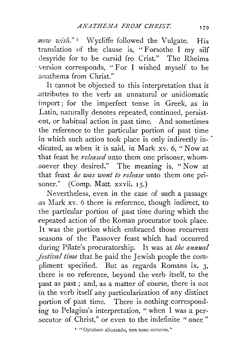*:now wi's!t."* r Wycliffe followed the Vulgate. His translation of the clause is, "Forsothe I my silf desyride for to be cursid fro Crist." The Rheims ·version corresponds, " For I wished myself to be anathema from Christ."

It cannot be objected to this interpretation that it .attributes to the verb an unnatural or unidiomatic import; for the imperfect tense in Greek, as in Latin, naturally denotes repeated, continued, persist ent, or habitual action in past time. And sometimes the reference to the particular portion of past time in which such action took place is only indirectly in-·dicated, as when it is said, in Mark xv. 6, " Now at that feast he *released* unto them one prisoner, whom-.soever they desired." The meaning is, " Now at 'that feast *he was wont to release* unto them one pri- :soner." (Comp. Matt. xxvii. 15.)

Nevertheless, even in the case of such a passage .as Mark xv. 6 there is reference, though indirect, to the particular portion of past time during which the repeated action of the Roman procurator took place. It was the portion which embraced those recurrent seasons of the Passover feast which had occurred during Pilate's procuratorship. It was at *the annual festival time* that he paid the Jewish people the compliment specified. But as regards Romans ix. 3, there is no reference, beyond the verb itself, to the past as past ; and, as a matter of course, there is not in the verb itself any particularization of any distinct portion of past time. There is nothing corresponding to Pelagius's interpretation, "when I was a persecutor of Christ," or even to the indefinite "once"

<sup>&</sup>lt;sup>1</sup> "Optabam aliquando, non nunc optarem."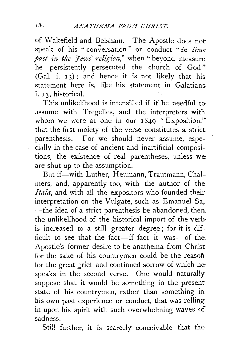of \Vakefield and Belsham. The Apostle does not speak of his " conversation" or conduct "*in time past in the 'Yews' religion*," when "beyond measure he persistently persecuted the church of God"  $(Ga. i. i3)$ ; and hence it is not likely that his statement here is, like his statement in Galatians i. 13, historical.

This unlikelihood is intensified if it be needful to assume with Tregclles, and the interpreters with whom we were at one in our  $1849$  "Exposition," that the first moiety of the verse constitutes a strict parenthesis. For we should never assume, especially in the case of ancient and inartificial compositions, the existence of real parentheses, unless we are shut up to the assumption.

But if--with Luther, Heumann, Trautmann, Chalmers, and, apparently too, with the author of the *Itala,* and with all the expositors who founded their interpretation on the Vulgate, such as Emanuel Sa, -the idea of a strict parenthesis be abandoned, then. the unlikelihood of the historical import of the verb· is increased to a still greater degree; for it is difficult to see that the fact-if fact it was-of the Apostle's former desire to be anathema from Christ for the sake of his countrymen could be the reason for the great grief and continued sorrow of which he speaks in the second verse. One would naturally suppose that it would be something in the present state of his countrymen, rather than something in his own past experience or conduct, that was rolling in upon his spirit with such overwhelming waves of sadness.

Still further, it is scarcely conceivable that the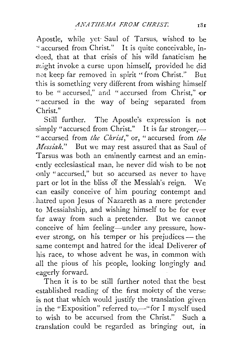Apostle, while yet· Saul of Tarsus, wished to be ''accursed from Christ." It is quite conceivable, in deed, that at that crisis of his wild fanaticism he might invoke a curse upon himself, provided he did not keep far removed in spirit "from Christ." But this is something very different from wishing himself to be " accursed," and " accursed from Christ," or " accursed in the way of being separated from Christ."

Still further. The Apostle's expression is not simply "accursed from Christ." It is far stronger,-"accursed from *the Christ*," or, "accursed from *the Messiah.*" But we may rest assured that as Saul of Tarsus was both an eminently earnest and ah eminently ecclesiastical man, he never did wish to be not only "accursed," but so accursed as never to have part or lot in the bliss of the Messiah's reign. \Ne can easily conceive of him pouring contempt and . hatred upon Jesus of Nazareth as a mere pretender to Messiahship, and wishing himself to be for ever far away from such a pretender. But we cannot conceive of him feeling-under any pressure, however strong, on his temper or his prejudices  $-$  the same contempt and hatred for the ideal Deliverer of his race, to whose advent he was, in common with .all the pious of his people, looking longingly and eagerly forward.

Then it is to be still further noted that the best established reading of the first moiety of the verse is not that which would justify the translation given. in the "Exposition" referred to,—" for I myself used to wish to be accursed from the Christ." Such a translation could be regarded as bringing out, in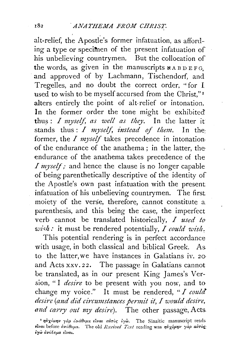## 182 *ANATHEMA FROM CHRIST.*

alt-relief, the Apostle's former ihfatuation, as affording a type or specimen of the present infatuation of his unbelieving countrymen. But the collocation of the words, as given in the manuscripts  $\boldsymbol{\kappa}$  A B D E FG. and approved of by Lachmann, Tischendorf, and Tregelles, and no doubt the correct order, "for I used to wish to be myself accursed from the Christ."<sup>1</sup> alters entirely the point of alt-relief or intonation. In the former order the tone might be exhibited' thus:  $I$  myself, as well as they. In the latter it stands thus : *I myself, instead of them*. In the former, the *I myself* takes precedence in intonation. of the endurance of the anathema ; in the latter, the endurance of the anathema takes precedence of the *I* myself; and hence the clause is no longer capable of being parenthetically descriptive of the identity of the Apostle's own past infatuation with the present infatuation of his unbelieving countrymen. The first moiety of the verse, therefore, cannot constitute a parenthesis, and this being the case, the imperfect verb cannot be translated historically, *I used to· wi'h:* it must be rendered potentially, *I could wish:* 

This potential rendering is in perfect accordance with usage, in both classical and biblical Greek. As to the latter, we have instances in Galatians iv. 20· and Acts xxv. 22. The passage in Galatians cannot be translated, as in our present King James's Version, "I *desire* to be present with you now, and to change my voice." It must be rendered, *"I could desire (and did circumstances permit it, I would desire, and carry out my desire).* The other passage, Acts

<sup>&</sup>lt;sup>τ</sup> ηὐχόμην γὰρ ἀνάθεμα εἶναι αὐ<del>τ</del>ὸς ἐγὼ. The Sinaitic manuscript reads  $i$ *ναι* before *ανάθεμα.* The old *Received Text* reading was *ηυχόμην γαρ αυτος*: *•yw avalEµa ELVat.*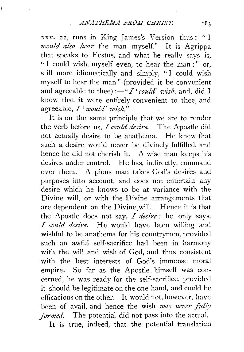xxv. 22,· runs in King James's Version thus: " I *would also hear* the man myself." It is Agrippa that speaks to Festus, and what he really says is, '· I could wish, myself even, to hear the man ; " or, still more idiomatically and simply, " I could wish myself to hear the man" (provided it be convenient and agreeable to thee): $-'' I'$  *could' wish*, and, did I know that it were entirely convenient to thee, and agreeable, *I' would' wish."* 

It is on the same principle that we are to render the verb before us, *I could desire.* The Apostle did not actually desire to be anathema. He knew that such a desire would never be divinely fulfilled, and hence he did not cherish it. A wise man keeps his desires under control. He has, indirectly, command over them. A pious man takes God's desires and purposes into account, and does not entertain any desire which he knows to be at variance with the Divine will, or with the Divine arrangements that are dependent on the Divine.will. Hence it is that the Apostle does not say, *I desire;* he only says, *I could desire.* He would have been willing and wishful to be anathema for his countrymen, provided such an awful self-sacrifice had been in harmony with the will and wish of God, and thus consistent with the best interests of God's immense moral empire. So far as the Apostle himself was concerned, he was ready for the self-sacrifice, provided it should be legitimate on the one hand, and could be efficacious on the other. It would not, however, have been of avail, and hence the wish *was never fully formed.* The potential did not pass into the actual. It is true, indeed, that the potential translation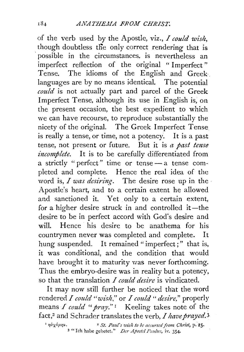of the verb used by the Apostle, viz., *I could wish*, though doubtless the only correct rendering that is possible in the circumstances, is nevertheless an imperfect reflection of the original "Imperfect" Tense. The idioms of the English and Greek. languages are by no means identical. The potential *could* is not actually part and parcel of the Greek Imperfect Tense, although its use in English is, on the present occasion, the best expedient to which we can have recourse, to reproduce substantially the nicety of the original. The Greek Imperfect Tense is really a tense, or time, not a potency. It is a past tense, not present or future. But it is *a past tense incomplete*. It is to be carefully differentiated from a strictly "perfect" time or tense - a tense completed and complete. Hence the real idea of the word is, *I was desiring*. The desire rose up in the Apostle's heart, and to a certain extent he allowed and sanctioned it. Yet only to a certain extent, for a higher desire struck in and controlled it-the desire to be in perfect accord with God's desire and will. Hence his desire to be anathema for his countrymen never was completed and complete. It hung suspended. It remained "imperfect;" that is, it was conditional, and the condition that would have brought it to maturity was never forthcoming. Thus the embryo-desire was in reality but a potency, so that the translation I *could desire* is vindicated.

It may now still further be noticed that the word rendered I *could "wish,"* or I *could" desire,"* properly means I could "pray."<sup>1</sup> Keeling takes note of the fact,2 and Schrader translates the verb, *I have prayed.3* 

<sup>&</sup>lt;sup>1</sup>  $\eta \dot{\theta} \chi \dot{\theta} \mu \eta \nu$ .  $\qquad$  <sup>2</sup> *St. Paul's wish to be accursed from Christ*, **p. 25.** <sup>3</sup> "Ich habe gebetet." *Der Apostel Paulus*, iv. 354.